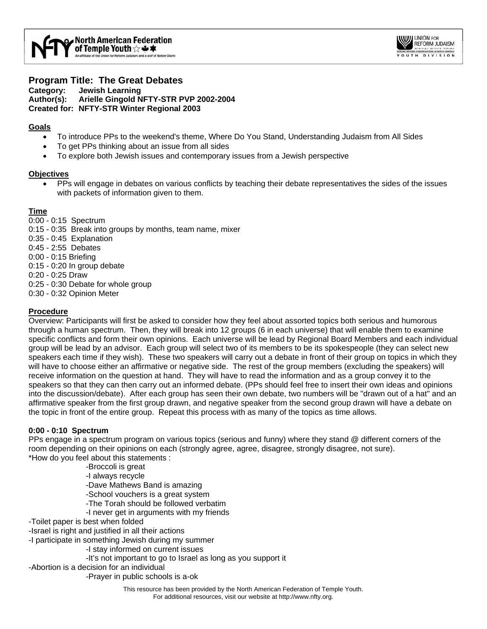

## **Program Title: The Great Debates Category: Jewish Learning Author(s): Arielle Gingold NFTY-STR PVP 2002-2004 Created for: NFTY-STR Winter Regional 2003**

# **Goals**

- To introduce PPs to the weekend's theme, Where Do You Stand, Understanding Judaism from All Sides
- To get PPs thinking about an issue from all sides
- To explore both Jewish issues and contemporary issues from a Jewish perspective

## **Objectives**

• PPs will engage in debates on various conflicts by teaching their debate representatives the sides of the issues with packets of information given to them.

## **Time**

- 0:00 0:15 Spectrum
- 0:15 0:35 Break into groups by months, team name, mixer
- 0:35 0:45 Explanation
- 0:45 2:55 Debates
- 0:00 0:15 Briefing
- 0:15 0:20 In group debate
- 0:20 0:25 Draw
- 0:25 0:30 Debate for whole group
- 0:30 0:32 Opinion Meter

## **Procedure**

Overview: Participants will first be asked to consider how they feel about assorted topics both serious and humorous through a human spectrum. Then, they will break into 12 groups (6 in each universe) that will enable them to examine specific conflicts and form their own opinions. Each universe will be lead by Regional Board Members and each individual group will be lead by an advisor. Each group will select two of its members to be its spokespeople (they can select new speakers each time if they wish). These two speakers will carry out a debate in front of their group on topics in which they will have to choose either an affirmative or negative side. The rest of the group members (excluding the speakers) will receive information on the question at hand. They will have to read the information and as a group convey it to the speakers so that they can then carry out an informed debate. (PPs should feel free to insert their own ideas and opinions into the discussion/debate). After each group has seen their own debate, two numbers will be "drawn out of a hat" and an affirmative speaker from the first group drawn, and negative speaker from the second group drawn will have a debate on the topic in front of the entire group. Repeat this process with as many of the topics as time allows.

### **0:00 - 0:10 Spectrum**

PPs engage in a spectrum program on various topics (serious and funny) where they stand @ different corners of the room depending on their opinions on each (strongly agree, agree, disagree, strongly disagree, not sure). \*How do you feel about this statements :

- -Broccoli is great
- -I always recycle
- -Dave Mathews Band is amazing
- -School vouchers is a great system
- -The Torah should be followed verbatim
- -I never get in arguments with my friends
- -Toilet paper is best when folded
- -Israel is right and justified in all their actions
- -I participate in something Jewish during my summer
	- -I stay informed on current issues
	- -It's not important to go to Israel as long as you support it
- -Abortion is a decision for an individual
	- -Prayer in public schools is a-ok
		- This resource has been provided by the North American Federation of Temple Youth. For additional resources, visit our website at http://www.nfty.org.